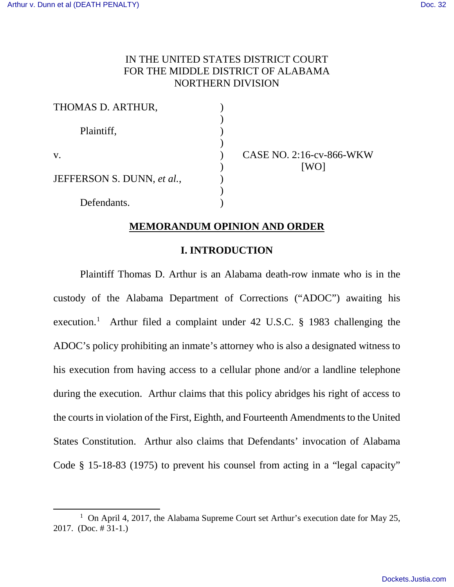$\overline{a}$ 

# IN THE UNITED STATES DISTRICT COURT FOR THE MIDDLE DISTRICT OF ALABAMA NORTHERN DIVISION

| THOMAS D. ARTHUR,          |                          |
|----------------------------|--------------------------|
| Plaintiff,                 |                          |
| V.                         | <b>CASE NO. 2:16-cv-</b> |
| JEFFERSON S. DUNN, et al., |                          |
| Defendants.                |                          |

CASE NO. 2:16-cv-866-WKW

# **MEMORANDUM OPINION AND ORDER**

### **I. INTRODUCTION**

Plaintiff Thomas D. Arthur is an Alabama death-row inmate who is in the custody of the Alabama Department of Corrections ("ADOC") awaiting his execution.<sup>[1](#page-0-0)</sup> Arthur filed a complaint under 42 U.S.C. § 1983 challenging the ADOC's policy prohibiting an inmate's attorney who is also a designated witness to his execution from having access to a cellular phone and/or a landline telephone during the execution. Arthur claims that this policy abridges his right of access to the courts in violation of the First, Eighth, and Fourteenth Amendments to the United States Constitution. Arthur also claims that Defendants' invocation of Alabama Code § 15-18-83 (1975) to prevent his counsel from acting in a "legal capacity"

<span id="page-0-0"></span><sup>&</sup>lt;sup>1</sup> On April 4, 2017, the Alabama Supreme Court set Arthur's execution date for May 25, 2017. (Doc. # 31-1.)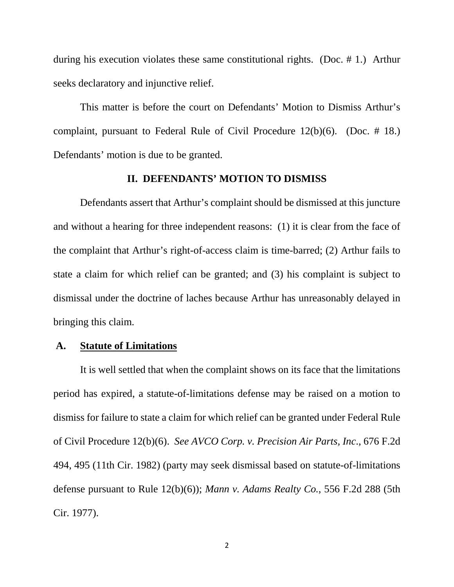during his execution violates these same constitutional rights. (Doc. # 1.) Arthur seeks declaratory and injunctive relief.

This matter is before the court on Defendants' Motion to Dismiss Arthur's complaint, pursuant to Federal Rule of Civil Procedure 12(b)(6). (Doc. # 18.) Defendants' motion is due to be granted.

#### **II. DEFENDANTS' MOTION TO DISMISS**

Defendants assert that Arthur's complaint should be dismissed at this juncture and without a hearing for three independent reasons: (1) it is clear from the face of the complaint that Arthur's right-of-access claim is time-barred; (2) Arthur fails to state a claim for which relief can be granted; and (3) his complaint is subject to dismissal under the doctrine of laches because Arthur has unreasonably delayed in bringing this claim.

### **A. Statute of Limitations**

It is well settled that when the complaint shows on its face that the limitations period has expired, a statute-of-limitations defense may be raised on a motion to dismiss for failure to state a claim for which relief can be granted under Federal Rule of Civil Procedure 12(b)(6). *See AVCO Corp. v. Precision Air Parts, Inc*., 676 F.2d 494, 495 (11th Cir. 1982) (party may seek dismissal based on statute-of-limitations defense pursuant to Rule 12(b)(6)); *Mann v. Adams Realty Co.*, 556 F.2d 288 (5th Cir. 1977).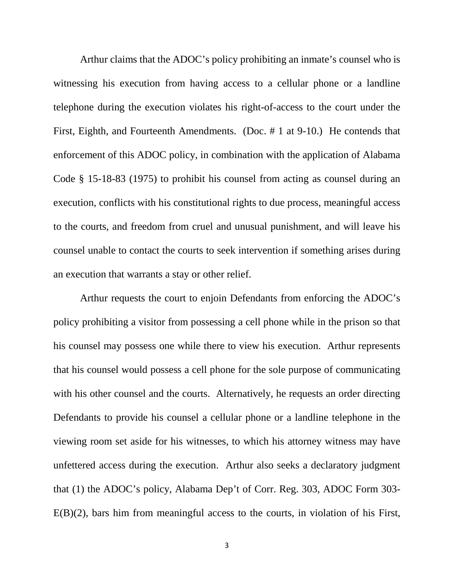Arthur claims that the ADOC's policy prohibiting an inmate's counsel who is witnessing his execution from having access to a cellular phone or a landline telephone during the execution violates his right-of-access to the court under the First, Eighth, and Fourteenth Amendments. (Doc. # 1 at 9-10.) He contends that enforcement of this ADOC policy, in combination with the application of Alabama Code § 15-18-83 (1975) to prohibit his counsel from acting as counsel during an execution, conflicts with his constitutional rights to due process, meaningful access to the courts, and freedom from cruel and unusual punishment, and will leave his counsel unable to contact the courts to seek intervention if something arises during an execution that warrants a stay or other relief.

Arthur requests the court to enjoin Defendants from enforcing the ADOC's policy prohibiting a visitor from possessing a cell phone while in the prison so that his counsel may possess one while there to view his execution. Arthur represents that his counsel would possess a cell phone for the sole purpose of communicating with his other counsel and the courts. Alternatively, he requests an order directing Defendants to provide his counsel a cellular phone or a landline telephone in the viewing room set aside for his witnesses, to which his attorney witness may have unfettered access during the execution. Arthur also seeks a declaratory judgment that (1) the ADOC's policy, Alabama Dep't of Corr. Reg. 303, ADOC Form 303- E(B)(2), bars him from meaningful access to the courts, in violation of his First,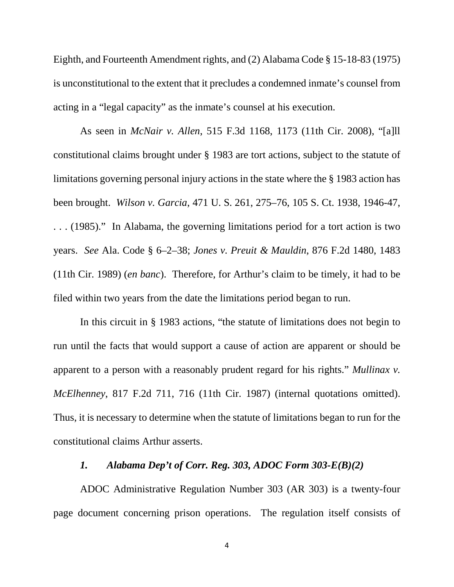Eighth, and Fourteenth Amendment rights, and (2) Alabama Code § 15-18-83 (1975) is unconstitutional to the extent that it precludes a condemned inmate's counsel from acting in a "legal capacity" as the inmate's counsel at his execution.

As seen in *McNair v. Allen*, 515 F.3d 1168, 1173 (11th Cir. 2008), "[a]ll constitutional claims brought under § 1983 are tort actions, subject to the statute of limitations governing personal injury actions in the state where the § 1983 action has been brought. *Wilson v. Garcia*, 471 U. S. 261, 275–76, 105 S. Ct. 1938, 1946-47, . . . (1985)." In Alabama, the governing limitations period for a tort action is two years. *See* Ala. Code § 6–2–38; *Jones v. Preuit & Mauldin*, 876 F.2d 1480, 1483 (11th Cir. 1989) (*en banc*). Therefore, for Arthur's claim to be timely, it had to be filed within two years from the date the limitations period began to run.

In this circuit in § 1983 actions, "the statute of limitations does not begin to run until the facts that would support a cause of action are apparent or should be apparent to a person with a reasonably prudent regard for his rights." *Mullinax v. McElhenney*, 817 F.2d 711, 716 (11th Cir. 1987) (internal quotations omitted). Thus, it is necessary to determine when the statute of limitations began to run for the constitutional claims Arthur asserts.

## *1. Alabama Dep't of Corr. Reg. 303, ADOC Form 303-E(B)(2)*

ADOC Administrative Regulation Number 303 (AR 303) is a twenty-four page document concerning prison operations. The regulation itself consists of

4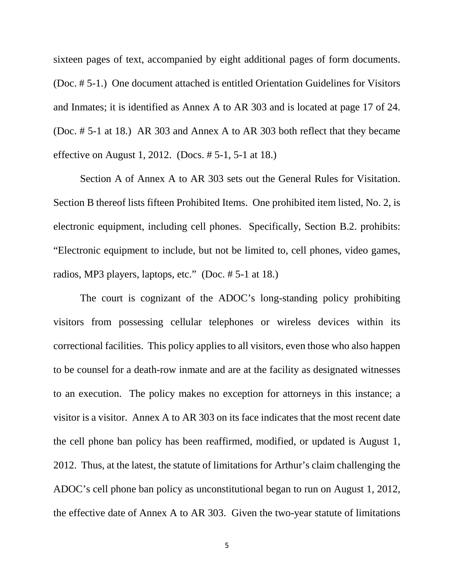sixteen pages of text, accompanied by eight additional pages of form documents. (Doc. # 5-1.) One document attached is entitled Orientation Guidelines for Visitors and Inmates; it is identified as Annex A to AR 303 and is located at page 17 of 24. (Doc. # 5-1 at 18.) AR 303 and Annex A to AR 303 both reflect that they became effective on August 1, 2012. (Docs. # 5-1, 5-1 at 18.)

Section A of Annex A to AR 303 sets out the General Rules for Visitation. Section B thereof lists fifteen Prohibited Items. One prohibited item listed, No. 2, is electronic equipment, including cell phones. Specifically, Section B.2. prohibits: "Electronic equipment to include, but not be limited to, cell phones, video games, radios, MP3 players, laptops, etc." (Doc. # 5-1 at 18.)

The court is cognizant of the ADOC's long-standing policy prohibiting visitors from possessing cellular telephones or wireless devices within its correctional facilities. This policy applies to all visitors, even those who also happen to be counsel for a death-row inmate and are at the facility as designated witnesses to an execution. The policy makes no exception for attorneys in this instance; a visitor is a visitor. Annex A to AR 303 on its face indicates that the most recent date the cell phone ban policy has been reaffirmed, modified, or updated is August 1, 2012. Thus, at the latest, the statute of limitations for Arthur's claim challenging the ADOC's cell phone ban policy as unconstitutional began to run on August 1, 2012, the effective date of Annex A to AR 303. Given the two-year statute of limitations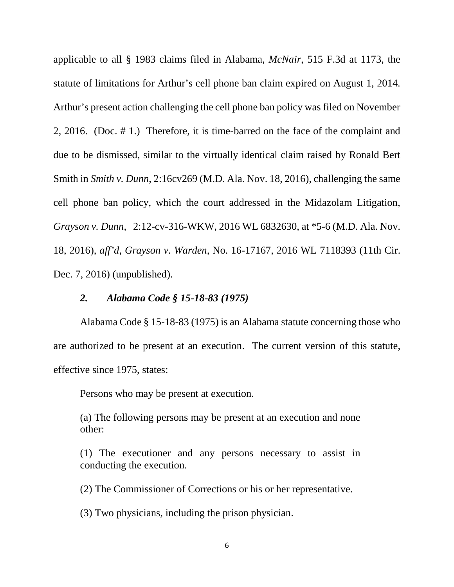applicable to all § 1983 claims filed in Alabama, *McNair*, 515 F.3d at 1173, the statute of limitations for Arthur's cell phone ban claim expired on August 1, 2014. Arthur's present action challenging the cell phone ban policy was filed on November 2, 2016. (Doc. # 1.) Therefore, it is time-barred on the face of the complaint and due to be dismissed, similar to the virtually identical claim raised by Ronald Bert Smith in *Smith v. Dunn*, 2:16cv269 (M.D. Ala. Nov. 18, 2016), challenging the same cell phone ban policy, which the court addressed in the Midazolam Litigation, *Grayson v. Dunn*, 2:12-cv-316-WKW, 2016 WL 6832630, at \*5-6 (M.D. Ala. Nov. 18, 2016), *aff'd*, *Grayson v. Warden*, No. 16-17167, 2016 WL 7118393 (11th Cir. Dec. 7, 2016) (unpublished).

### *2. Alabama Code § 15-18-83 (1975)*

Alabama Code § 15-18-83 (1975) is an Alabama statute concerning those who are authorized to be present at an execution. The current version of this statute, effective since 1975, states:

Persons who may be present at execution.

(a) The following persons may be present at an execution and none other:

(1) The executioner and any persons necessary to assist in conducting the execution.

(2) The Commissioner of Corrections or his or her representative.

(3) Two physicians, including the prison physician.

6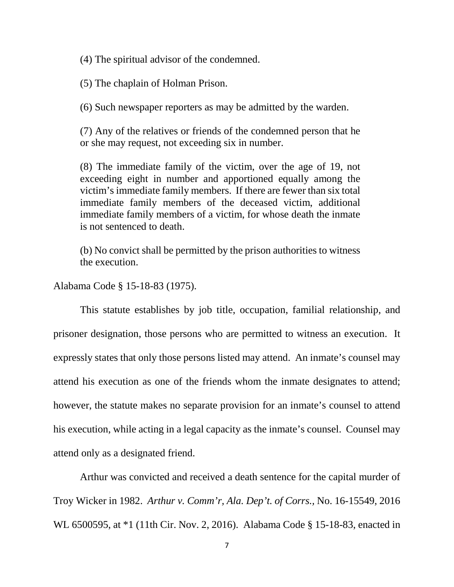(4) The spiritual advisor of the condemned.

(5) The chaplain of Holman Prison.

(6) Such newspaper reporters as may be admitted by the warden.

(7) Any of the relatives or friends of the condemned person that he or she may request, not exceeding six in number.

(8) The immediate family of the victim, over the age of 19, not exceeding eight in number and apportioned equally among the victim's immediate family members. If there are fewer than six total immediate family members of the deceased victim, additional immediate family members of a victim, for whose death the inmate is not sentenced to death.

(b) No convict shall be permitted by the prison authorities to witness the execution.

Alabama Code § 15-18-83 (1975).

 This statute establishes by job title, occupation, familial relationship, and prisoner designation, those persons who are permitted to witness an execution. It expressly states that only those persons listed may attend. An inmate's counsel may attend his execution as one of the friends whom the inmate designates to attend; however, the statute makes no separate provision for an inmate's counsel to attend his execution, while acting in a legal capacity as the inmate's counsel. Counsel may attend only as a designated friend.

Arthur was convicted and received a death sentence for the capital murder of Troy Wicker in 1982. *Arthur v. Comm'r, Ala. Dep't. of Corrs.,* No. 16-15549, 2016 WL 6500595, at \*1 (11th Cir. Nov. 2, 2016). Alabama Code § 15-18-83, enacted in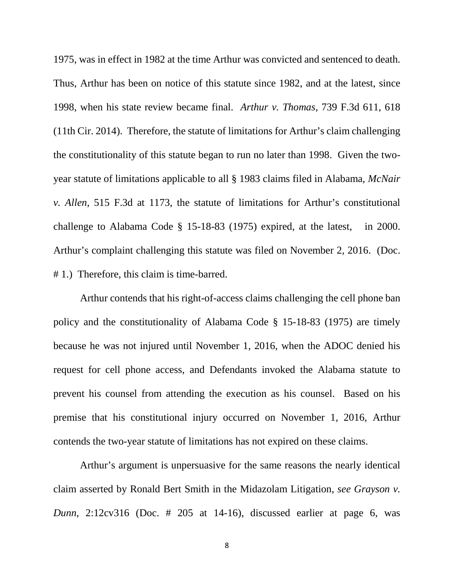1975, was in effect in 1982 at the time Arthur was convicted and sentenced to death. Thus, Arthur has been on notice of this statute since 1982, and at the latest, since 1998, when his state review became final. *Arthur v. Thomas*, 739 F.3d 611, 618 (11th Cir. 2014). Therefore, the statute of limitations for Arthur's claim challenging the constitutionality of this statute began to run no later than 1998. Given the twoyear statute of limitations applicable to all § 1983 claims filed in Alabama, *McNair v. Allen*, 515 F.3d at 1173, the statute of limitations for Arthur's constitutional challenge to Alabama Code § 15-18-83 (1975) expired, at the latest, in 2000. Arthur's complaint challenging this statute was filed on November 2, 2016. (Doc. # 1.) Therefore, this claim is time-barred.

Arthur contends that his right-of-access claims challenging the cell phone ban policy and the constitutionality of Alabama Code § 15-18-83 (1975) are timely because he was not injured until November 1, 2016, when the ADOC denied his request for cell phone access, and Defendants invoked the Alabama statute to prevent his counsel from attending the execution as his counsel. Based on his premise that his constitutional injury occurred on November 1, 2016, Arthur contends the two-year statute of limitations has not expired on these claims.

Arthur's argument is unpersuasive for the same reasons the nearly identical claim asserted by Ronald Bert Smith in the Midazolam Litigation, *see Grayson v. Dunn*, 2:12cv316 (Doc. # 205 at 14-16), discussed earlier at page 6, was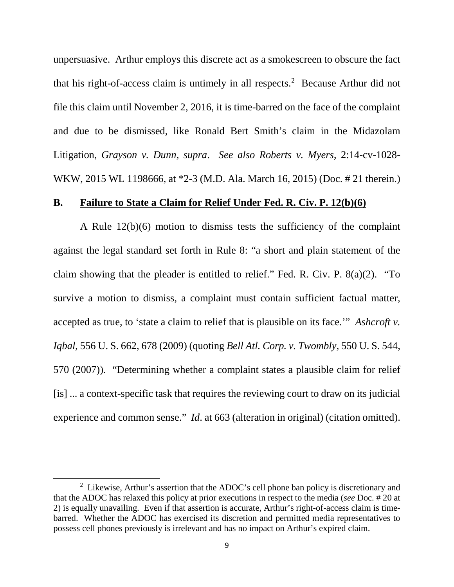unpersuasive. Arthur employs this discrete act as a smokescreen to obscure the fact that his right-of-access claim is untimely in all respects. [2](#page-8-0) Because Arthur did not file this claim until November 2, 2016, it is time-barred on the face of the complaint and due to be dismissed, like Ronald Bert Smith's claim in the Midazolam Litigation, *Grayson v. Dunn*, *supra*. *See also Roberts v. Myers*, 2:14-cv-1028- WKW, 2015 WL 1198666, at \*2-3 (M.D. Ala. March 16, 2015) (Doc. # 21 therein.)

#### **B. Failure to State a Claim for Relief Under Fed. R. Civ. P. 12(b)(6)**

A Rule 12(b)(6) motion to dismiss tests the sufficiency of the complaint against the legal standard set forth in Rule 8: "a short and plain statement of the claim showing that the pleader is entitled to relief." Fed. R. Civ. P. 8(a)(2). "To survive a motion to dismiss, a complaint must contain sufficient factual matter, accepted as true, to 'state a claim to relief that is plausible on its face.'" *Ashcroft v. Iqbal*, 556 U. S. 662, 678 (2009) (quoting *Bell Atl. Corp. v. Twombly*, 550 U. S. 544, 570 (2007)). "Determining whether a complaint states a plausible claim for relief [is] ... a context-specific task that requires the reviewing court to draw on its judicial experience and common sense." *Id*. at 663 (alteration in original) (citation omitted).

 $\overline{a}$ 

<span id="page-8-0"></span><sup>&</sup>lt;sup>2</sup> Likewise, Arthur's assertion that the ADOC's cell phone ban policy is discretionary and that the ADOC has relaxed this policy at prior executions in respect to the media (*see* Doc. # 20 at 2) is equally unavailing. Even if that assertion is accurate, Arthur's right-of-access claim is timebarred. Whether the ADOC has exercised its discretion and permitted media representatives to possess cell phones previously is irrelevant and has no impact on Arthur's expired claim.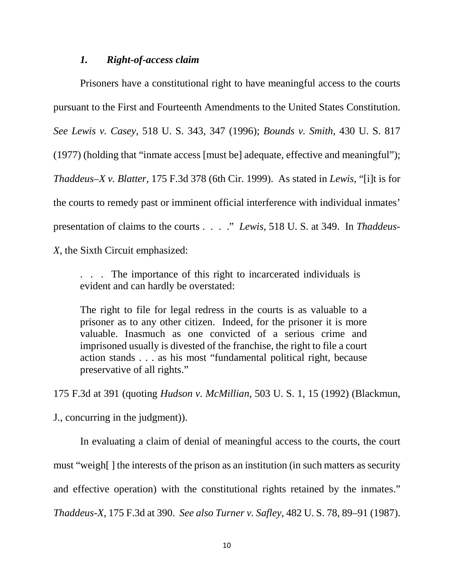# *1. Right-of-access claim*

 Prisoners have a constitutional right to have meaningful access to the courts pursuant to the First and Fourteenth Amendments to the United States Constitution. *See Lewis v. Casey*, 518 U. S. 343, 347 (1996); *Bounds v. Smith*, 430 U. S. 817 (1977) (holding that "inmate access [must be] adequate, effective and meaningful"); *Thaddeus–X v. Blatter*, 175 F.3d 378 (6th Cir. 1999). As stated in *Lewis*, "[i]t is for the courts to remedy past or imminent official interference with individual inmates' presentation of claims to the courts . . . ." *Lewis*, 518 U. S. at 349. In *Thaddeus-X*, the Sixth Circuit emphasized:

. . . The importance of this right to incarcerated individuals is evident and can hardly be overstated:

The right to file for legal redress in the courts is as valuable to a prisoner as to any other citizen. Indeed, for the prisoner it is more valuable. Inasmuch as one convicted of a serious crime and imprisoned usually is divested of the franchise, the right to file a court action stands . . . as his most "fundamental political right, because preservative of all rights."

175 F.3d at 391 (quoting *Hudson v. McMillian*, 503 U. S. 1, 15 (1992) (Blackmun,

J., concurring in the judgment)).

In evaluating a claim of denial of meaningful access to the courts, the court must "weigh[ ] the interests of the prison as an institution (in such matters as security and effective operation) with the constitutional rights retained by the inmates." *Thaddeus-X*, 175 F.3d at 390. *See also Turner v. Safley*, 482 U. S. 78, 89–91 (1987).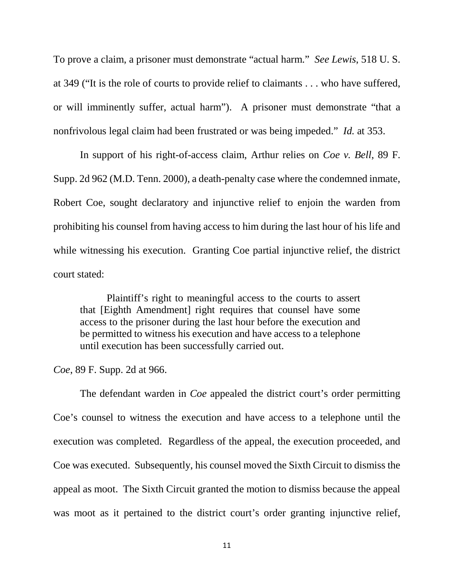To prove a claim, a prisoner must demonstrate "actual harm." *See Lewis*, 518 U. S. at 349 ("It is the role of courts to provide relief to claimants . . . who have suffered, or will imminently suffer, actual harm"). A prisoner must demonstrate "that a nonfrivolous legal claim had been frustrated or was being impeded." *Id.* at 353.

In support of his right-of-access claim, Arthur relies on *Coe v. Bell*, 89 F. Supp. 2d 962 (M.D. Tenn. 2000), a death-penalty case where the condemned inmate, Robert Coe, sought declaratory and injunctive relief to enjoin the warden from prohibiting his counsel from having access to him during the last hour of his life and while witnessing his execution. Granting Coe partial injunctive relief, the district court stated:

Plaintiff's right to meaningful access to the courts to assert that [Eighth Amendment] right requires that counsel have some access to the prisoner during the last hour before the execution and be permitted to witness his execution and have access to a telephone until execution has been successfully carried out.

*Coe*, 89 F. Supp. 2d at 966.

The defendant warden in *Coe* appealed the district court's order permitting Coe's counsel to witness the execution and have access to a telephone until the execution was completed. Regardless of the appeal, the execution proceeded, and Coe was executed. Subsequently, his counsel moved the Sixth Circuit to dismiss the appeal as moot. The Sixth Circuit granted the motion to dismiss because the appeal was moot as it pertained to the district court's order granting injunctive relief,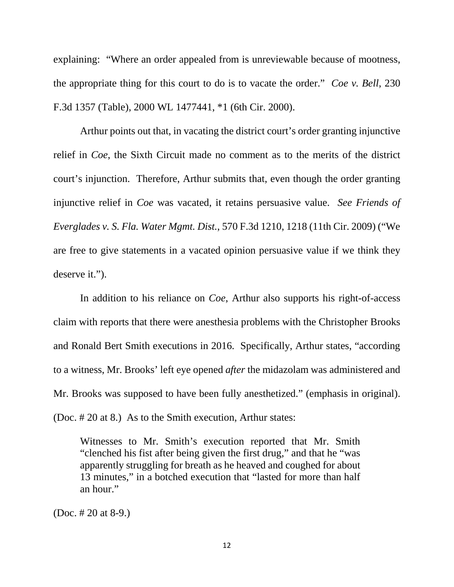explaining: "Where an order appealed from is unreviewable because of mootness, the appropriate thing for this court to do is to vacate the order." *Coe v. Bell*, 230 F.3d 1357 (Table), 2000 WL 1477441, \*1 (6th Cir. 2000).

Arthur points out that, in vacating the district court's order granting injunctive relief in *Coe*, the Sixth Circuit made no comment as to the merits of the district court's injunction. Therefore, Arthur submits that, even though the order granting injunctive relief in *Coe* was vacated, it retains persuasive value. *See Friends of Everglades v. S. Fla. Water Mgmt. Dist.*, 570 F.3d 1210, 1218 (11th Cir. 2009) ("We are free to give statements in a vacated opinion persuasive value if we think they deserve it.").

In addition to his reliance on *Coe*, Arthur also supports his right-of-access claim with reports that there were anesthesia problems with the Christopher Brooks and Ronald Bert Smith executions in 2016. Specifically, Arthur states, "according to a witness, Mr. Brooks' left eye opened *after* the midazolam was administered and Mr. Brooks was supposed to have been fully anesthetized." (emphasis in original). (Doc. # 20 at 8.) As to the Smith execution, Arthur states:

Witnesses to Mr. Smith's execution reported that Mr. Smith "clenched his fist after being given the first drug," and that he "was apparently struggling for breath as he heaved and coughed for about 13 minutes," in a botched execution that "lasted for more than half an hour."

(Doc. # 20 at 8-9.)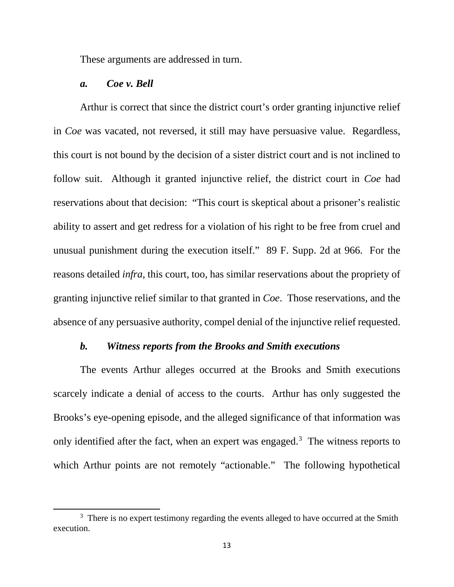These arguments are addressed in turn.

### *a. Coe v. Bell*

 $\overline{a}$ 

Arthur is correct that since the district court's order granting injunctive relief in *Coe* was vacated, not reversed, it still may have persuasive value. Regardless, this court is not bound by the decision of a sister district court and is not inclined to follow suit. Although it granted injunctive relief, the district court in *Coe* had reservations about that decision: "This court is skeptical about a prisoner's realistic ability to assert and get redress for a violation of his right to be free from cruel and unusual punishment during the execution itself." 89 F. Supp. 2d at 966. For the reasons detailed *infra*, this court, too, has similar reservations about the propriety of granting injunctive relief similar to that granted in *Coe*. Those reservations, and the absence of any persuasive authority, compel denial of the injunctive relief requested.

## *b. Witness reports from the Brooks and Smith executions*

The events Arthur alleges occurred at the Brooks and Smith executions scarcely indicate a denial of access to the courts. Arthur has only suggested the Brooks's eye-opening episode, and the alleged significance of that information was only identified after the fact, when an expert was engaged.<sup>[3](#page-12-0)</sup> The witness reports to which Arthur points are not remotely "actionable." The following hypothetical

<span id="page-12-0"></span><sup>&</sup>lt;sup>3</sup> There is no expert testimony regarding the events alleged to have occurred at the Smith execution.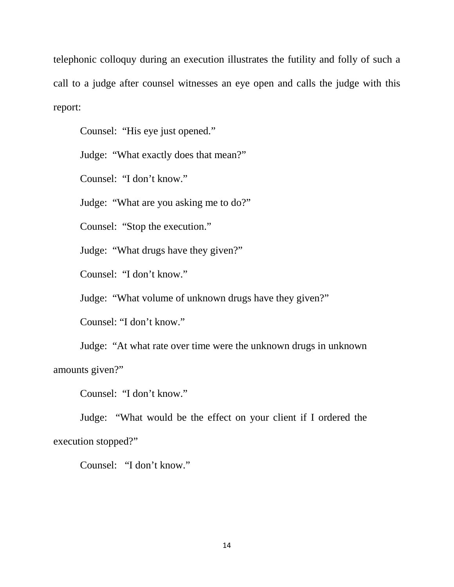telephonic colloquy during an execution illustrates the futility and folly of such a call to a judge after counsel witnesses an eye open and calls the judge with this report:

Counsel: "His eye just opened."

Judge: "What exactly does that mean?"

Counsel: "I don't know."

Judge: "What are you asking me to do?"

Counsel: "Stop the execution."

Judge: "What drugs have they given?"

Counsel: "I don't know."

Judge: "What volume of unknown drugs have they given?"

Counsel: "I don't know."

Judge: "At what rate over time were the unknown drugs in unknown amounts given?"

Counsel: "I don't know."

Judge: "What would be the effect on your client if I ordered the execution stopped?"

Counsel: "I don't know."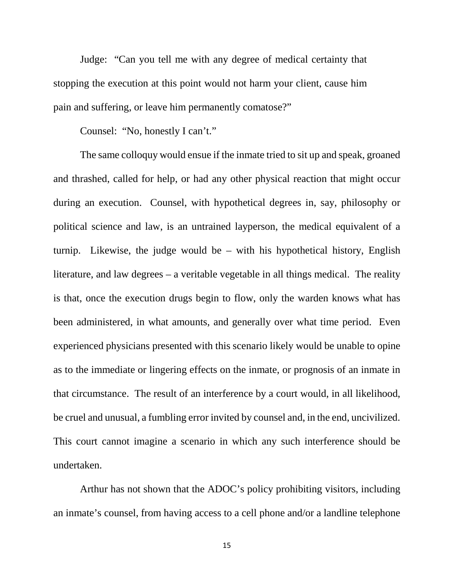Judge: "Can you tell me with any degree of medical certainty that stopping the execution at this point would not harm your client, cause him pain and suffering, or leave him permanently comatose?"

Counsel: "No, honestly I can't."

The same colloquy would ensue if the inmate tried to sit up and speak, groaned and thrashed, called for help, or had any other physical reaction that might occur during an execution. Counsel, with hypothetical degrees in, say, philosophy or political science and law, is an untrained layperson, the medical equivalent of a turnip. Likewise, the judge would be – with his hypothetical history, English literature, and law degrees – a veritable vegetable in all things medical. The reality is that, once the execution drugs begin to flow, only the warden knows what has been administered, in what amounts, and generally over what time period. Even experienced physicians presented with this scenario likely would be unable to opine as to the immediate or lingering effects on the inmate, or prognosis of an inmate in that circumstance. The result of an interference by a court would, in all likelihood, be cruel and unusual, a fumbling error invited by counsel and, in the end, uncivilized. This court cannot imagine a scenario in which any such interference should be undertaken.

Arthur has not shown that the ADOC's policy prohibiting visitors, including an inmate's counsel, from having access to a cell phone and/or a landline telephone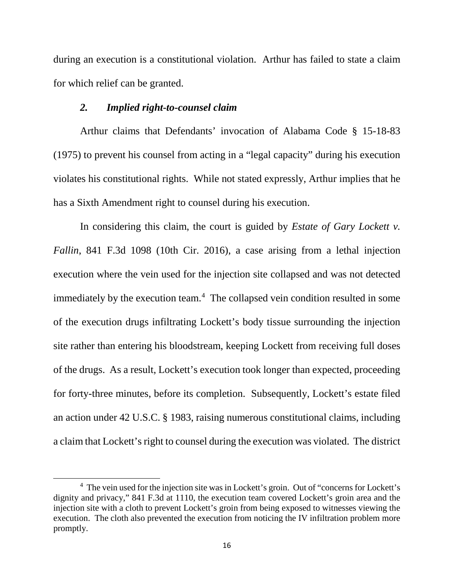during an execution is a constitutional violation. Arthur has failed to state a claim for which relief can be granted.

## *2. Implied right-to-counsel claim*

 $\overline{a}$ 

Arthur claims that Defendants' invocation of Alabama Code § 15-18-83 (1975) to prevent his counsel from acting in a "legal capacity" during his execution violates his constitutional rights. While not stated expressly, Arthur implies that he has a Sixth Amendment right to counsel during his execution.

In considering this claim, the court is guided by *Estate of Gary Lockett v. Fallin*, 841 F.3d 1098 (10th Cir. 2016), a case arising from a lethal injection execution where the vein used for the injection site collapsed and was not detected immediately by the execution team. [4](#page-15-0) The collapsed vein condition resulted in some of the execution drugs infiltrating Lockett's body tissue surrounding the injection site rather than entering his bloodstream, keeping Lockett from receiving full doses of the drugs. As a result, Lockett's execution took longer than expected, proceeding for forty-three minutes, before its completion. Subsequently, Lockett's estate filed an action under 42 U.S.C. § 1983, raising numerous constitutional claims, including a claim that Lockett's right to counsel during the execution was violated. The district

<span id="page-15-0"></span><sup>&</sup>lt;sup>4</sup> The vein used for the injection site was in Lockett's groin. Out of "concerns for Lockett's dignity and privacy," 841 F.3d at 1110, the execution team covered Lockett's groin area and the injection site with a cloth to prevent Lockett's groin from being exposed to witnesses viewing the execution. The cloth also prevented the execution from noticing the IV infiltration problem more promptly.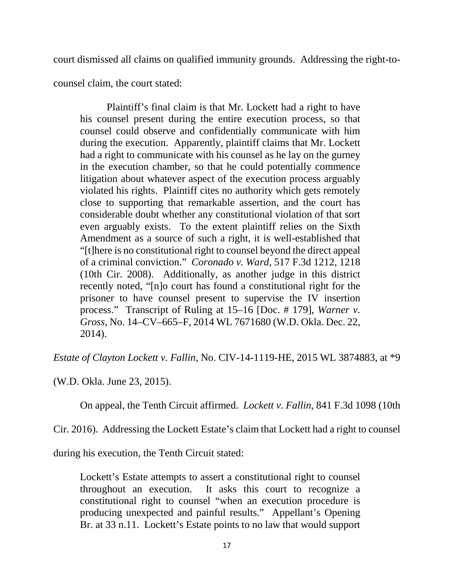court dismissed all claims on qualified immunity grounds. Addressing the right-to-

counsel claim, the court stated:

Plaintiff's final claim is that Mr. Lockett had a right to have his counsel present during the entire execution process, so that counsel could observe and confidentially communicate with him during the execution. Apparently, plaintiff claims that Mr. Lockett had a right to communicate with his counsel as he lay on the gurney in the execution chamber, so that he could potentially commence litigation about whatever aspect of the execution process arguably violated his rights. Plaintiff cites no authority which gets remotely close to supporting that remarkable assertion, and the court has considerable doubt whether any constitutional violation of that sort even arguably exists. To the extent plaintiff relies on the Sixth Amendment as a source of such a right, it is well-established that "[t]here is no constitutional right to counsel beyond the direct appeal of a criminal conviction." *Coronado v. Ward*, 517 F.3d 1212, 1218 (10th Cir. 2008). Additionally, as another judge in this district recently noted, "[n]o court has found a constitutional right for the prisoner to have counsel present to supervise the IV insertion process." Transcript of Ruling at 15–16 [Doc. # 179], *Warner v. Gross*, No. 14–CV–665–F, 2014 WL 7671680 (W.D. Okla. Dec. 22, 2014).

*Estate of Clayton Lockett v. Fallin*, No. CIV-14-1119-HE, 2015 WL 3874883, at \*9

(W.D. Okla. June 23, 2015).

On appeal, the Tenth Circuit affirmed. *Lockett v. Fallin*, 841 F.3d 1098 (10th

Cir. 2016). Addressing the Lockett Estate's claim that Lockett had a right to counsel

during his execution, the Tenth Circuit stated:

Lockett's Estate attempts to assert a constitutional right to counsel throughout an execution. It asks this court to recognize a constitutional right to counsel "when an execution procedure is producing unexpected and painful results." Appellant's Opening Br. at 33 n.11. Lockett's Estate points to no law that would support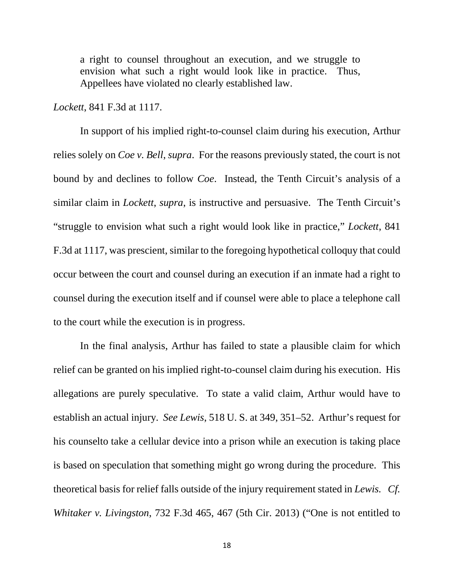a right to counsel throughout an execution, and we struggle to envision what such a right would look like in practice. Thus, Appellees have violated no clearly established law.

*Lockett*, 841 F.3d at 1117.

In support of his implied right-to-counsel claim during his execution, Arthur relies solely on *Coe v. Bell*, *supra*. For the reasons previously stated, the court is not bound by and declines to follow *Coe*. Instead, the Tenth Circuit's analysis of a similar claim in *Lockett*, *supra*, is instructive and persuasive. The Tenth Circuit's "struggle to envision what such a right would look like in practice," *Lockett*, 841 F.3d at 1117, was prescient, similar to the foregoing hypothetical colloquy that could occur between the court and counsel during an execution if an inmate had a right to counsel during the execution itself and if counsel were able to place a telephone call to the court while the execution is in progress.

In the final analysis, Arthur has failed to state a plausible claim for which relief can be granted on his implied right-to-counsel claim during his execution. His allegations are purely speculative. To state a valid claim, Arthur would have to establish an actual injury. *See Lewis*, 518 U. S. at 349, 351–52. Arthur's request for his counselto take a cellular device into a prison while an execution is taking place is based on speculation that something might go wrong during the procedure. This theoretical basis for relief falls outside of the injury requirement stated in *Lewis. Cf. Whitaker v. Livingston*, 732 F.3d 465, 467 (5th Cir. 2013) ("One is not entitled to